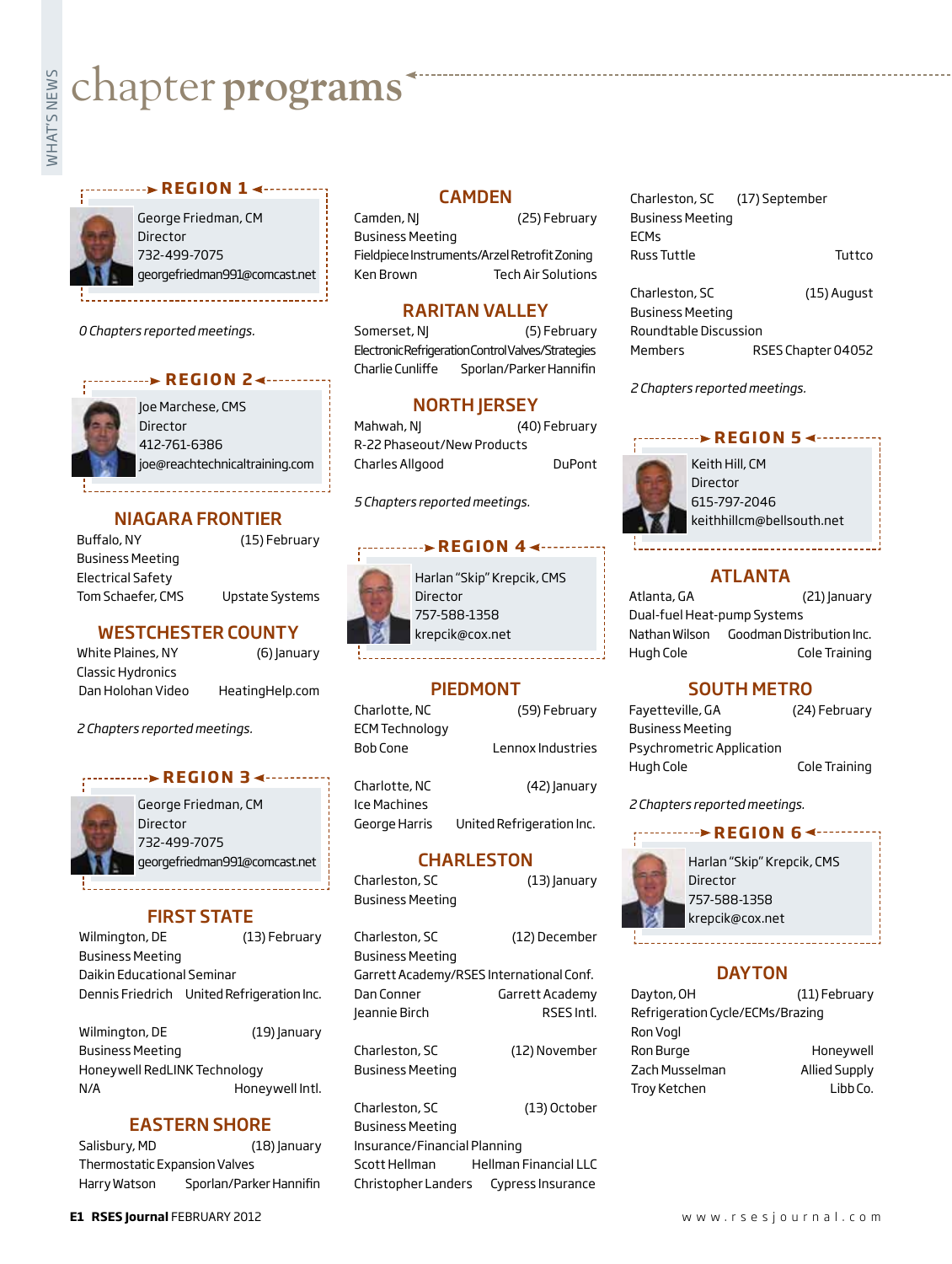# **whater programs**<br>Example:

#### **REGION 14 - ... . . . . . . . .**

George Friedman, CM Director 732-499-7075 georgefriedman991@comcast.net

*0 Chapters reported meetings.*



Joe Marchese, CMS Director 412-761-6386 joe@reachtechnicaltraining.com

#### NIAGARA FRONTIER

Buffalo, NY (15) February Business Meeting Electrical Safety Tom Schaefer, CMS Upstate Systems

#### WESTCHESTER COUNTY

White Plaines, NY (6) January Classic Hydronics Dan Holohan Video HeatingHelp.com

*2 Chapters reported meetings.*

#### **REGION 34 ········**



George Friedman, CM Director 732-499-7075 georgefriedman991@comcast.net

#### FIRST STATE

Wilmington, DE (13) February Business Meeting Daikin Educational Seminar Dennis Friedrich United Refrigeration Inc.

Wilmington, DE (19) January Business Meeting Honeywell RedLINK Technology N/A Honeywell Intl.

#### EASTERN SHORE

| Salisbury, MD                 | $(18)$ anuary           |
|-------------------------------|-------------------------|
| Thermostatic Expansion Valves |                         |
| Harry Watson                  | Sporlan/Parker Hannifin |

#### CAMDEN

Camden, NJ (25) February Business Meeting Fieldpiece Instruments/Arzel Retrofit Zoning Ken Brown Tech Air Solutions

#### RARITAN VALLEY

Somerset, N| (5) February Electronic Refrigeration Control Valves/Strategies Charlie Cunliffe Sporlan/Parker Hannifin

#### NORTH JERSEY

Mahwah, NJ (40) February R-22 Phaseout/New Products Charles Allgood DuPont

*5 Chapters reported meetings.*

#### **REGION 4 ∢----->** REGION



Harlan "Skip" Krepcik, CMS Director 757-588-1358 krepcik@cox.net

#### PIEDMONT

| Lennox Industries |
|-------------------|
| (42) January      |
|                   |

Ice Machines George Harris United Refrigeration Inc.

#### **CHARLESTON**

Charleston, SC (13) January Business Meeting Charleston, SC (12) December Business Meeting Garrett Academy/RSES International Conf. Dan Conner **Garrett Academy** Jeannie Birch RSES Intl.

Charleston, SC (12) November Business Meeting

Charleston, SC (13) October Business Meeting Insurance/Financial Planning Scott Hellman Hellman Financial LLC Christopher Landers Cypress Insurance

| Charleston, SC (17) September |        |
|-------------------------------|--------|
| <b>Business Meeting</b>       |        |
| <b>FCMs</b>                   |        |
| Russ Tuttle                   | Tuttco |
|                               |        |

Charleston, SC (15) August Business Meeting Roundtable Discussion Members RSES Chapter 04052

*2 Chapters reported meetings.*

### **REGION 5 <--------**



Keith Hill, CM Director 615-797-2046 keithhillcm@bellsouth.net

#### ATLANTA

Atlanta, GA (21) January Dual-fuel Heat-pump Systems Nathan Wilson Goodman Distribution Inc. Hugh Cole Cole Training

#### SOUTH METRO

| Fayetteville, GA          | (24) February |
|---------------------------|---------------|
| <b>Business Meeting</b>   |               |
| Psychrometric Application |               |
| Hugh Cole                 | Cole Training |

*2 Chapters reported meetings.*

## **r e g i o n 6**



Harlan "Skip" Krepcik, CMS Director 757-588-1358 krepcik@cox.net

#### **DAYTON**

| Dayton, OH                       | (11) February        |
|----------------------------------|----------------------|
| Refrigeration Cycle/ECMs/Brazing |                      |
| Ron Vogl                         |                      |
| Ron Burge                        | Honeywell            |
| Zach Musselman                   | <b>Allied Supply</b> |
| <b>Troy Ketchen</b>              | Libb Co.             |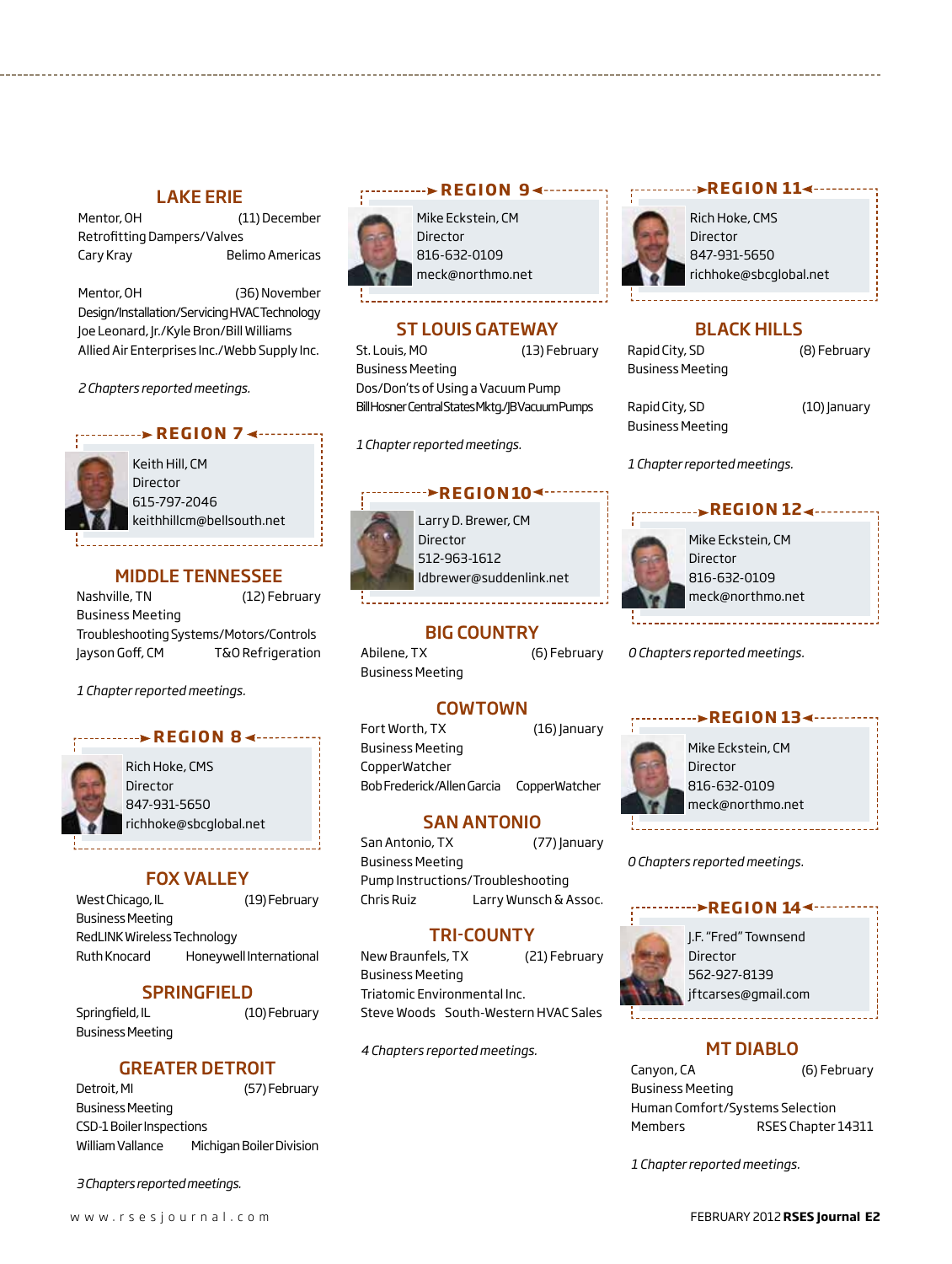## **LAKE ERIE** *r r r r r r <b><i><b>r r <b>r <b><i><b> <b><i>r <b> <i><b> <b> <b> <b>*

Mentor, OH (11) December Retrofitting Dampers/Valves Cary Kray Belimo Americas

Mentor, OH (36) November Design/Installation/Servicing HVAC Technology Joe Leonard, Jr./Kyle Bron/Bill Williams Allied Air Enterprises Inc./Webb Supply Inc.

*2 Chapters reported meetings.*

#### **REGION 74 ------**

Keith Hill, CM **Director** 615-797-2046 keithhillcm@bellsouth.net

#### MIDDLE TENNESSEE

Nashville, TN (12) February Business Meeting Troubleshooting Systems/Motors/Controls Jayson Goff, CM T&O Refrigeration

*1 Chapter reported meetings.*

# **REGION 84----**



Rich Hoke, CMS Director 847-931-5650 richhoke@sbcglobal.net

#### Fox Valley

West Chicago, IL (19) February Business Meeting RedLINK Wireless Technology Ruth Knocard Honeywell International

#### **SPRINGFIELD**

Springfield, IL (10) February Business Meeting

#### GREATER DETROIT

| Detroit, MI                     | (57) February            |
|---------------------------------|--------------------------|
| Business Meeting                |                          |
| <b>CSD-1 Boiler Inspections</b> |                          |
| William Vallance                | Michigan Boiler Division |

*3 Chapters reported meetings.*



Mike Eckstein, CM 816-632-0109 meck@northmo.net

#### ST LOUIS GATEWAY

St. Louis, MO (13) February Business Meeting Dos/Don'ts of Using a Vacuum Pump Bill Hosner Central States Mktg./JB Vacuum Pumps

*1 Chapter reported meetings.*

#### *<u><b>PREGION104...</u>*</u>



Larry D. Brewer, CM Director 512-963-1612 ldbrewer@suddenlink.net

#### BIG COUNTRY

Abilene, TX (6) February Business Meeting

#### **COWTOWN**

Fort Worth, TX (16) January Business Meeting CopperWatcher Bob Frederick/Allen Garcia CopperWatcher

#### SAN ANTONIO

San Antonio, TX (77) January Business Meeting Pump Instructions/Troubleshooting Chris Ruiz Larry Wunsch & Assoc.

#### TRI-COUNTY

New Braunfels, TX (21) February Business Meeting Triatomic Environmental Inc. Steve Woods South-Western HVAC Sales

*4 Chapters reported meetings.*



#### Rich Hoke, CMS Director 847-931-5650 richhoke@sbcglobal.net

*.***.. ▶REGION 11◀---------**

BLACK HILLS Rapid City, SD (8) February

Rapid City, SD (10) January Business Meeting

Business Meeting

*1 Chapter reported meetings.*



*0 Chapters reported meetings.*

# **REGION 13∢………**



Mike Eckstein, CM 816-632-0109 meck@northmo.net

*0 Chapters reported meetings.*

#### **REGION 144**



J.F. "Fred" Townsend Director 562-927-8139 jftcarses@gmail.com

#### MT DIABLO

Canyon, CA (6) February Business Meeting Human Comfort/Systems Selection Members RSES Chapter 14311

*1 Chapter reported meetings.*